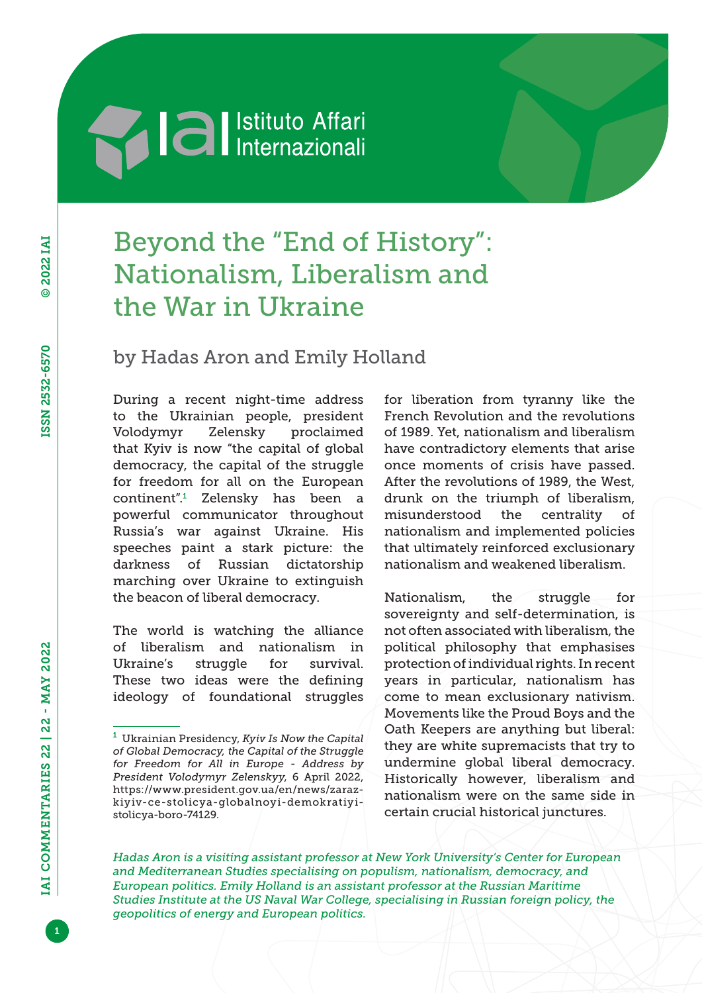# **Sand Separate Separate Separate Separate Separate Separate Separate Separate Separate Separate Separate Separate Separate Separate Separate Separate Separate Separate Separate Separate Separate Separate Separate Separate**

# Beyond the "End of History": Nationalism, Liberalism and the War in Ukraine

by Hadas Aron and Emily Holland

During a recent night-time address to the Ukrainian people, president Volodymyr Zelensky proclaimed that Kyiv is now "the capital of global democracy, the capital of the struggle for freedom for all on the European continent".<sup>1</sup> Zelensky has been a powerful communicator throughout Russia's war against Ukraine. His speeches paint a stark picture: the darkness of Russian dictatorship marching over Ukraine to extinguish the beacon of liberal democracy.

The world is watching the alliance of liberalism and nationalism in Ukraine's struggle for survival. These two ideas were the defining ideology of foundational struggles for liberation from tyranny like the French Revolution and the revolutions of 1989. Yet, nationalism and liberalism have contradictory elements that arise once moments of crisis have passed. After the revolutions of 1989, the West, drunk on the triumph of liberalism, misunderstood the centrality of nationalism and implemented policies that ultimately reinforced exclusionary nationalism and weakened liberalism.

Nationalism, the struggle for sovereignty and self-determination, is not often associated with liberalism, the political philosophy that emphasises protection of individual rights. In recent years in particular, nationalism has come to mean exclusionary nativism. Movements like the Proud Boys and the Oath Keepers are anything but liberal: they are white supremacists that try to undermine global liberal democracy. Historically however, liberalism and nationalism were on the same side in certain crucial historical junctures.

*Hadas Aron is a visiting assistant professor at New York University's Center for European and Mediterranean Studies specialising on populism, nationalism, democracy, and European politics. Emily Holland is an assistant professor at the Russian Maritime Studies Institute at the US Naval War College, specialising in Russian foreign policy, the geopolitics of energy and European politics.*

1

<sup>1</sup> Ukrainian Presidency, *Kyiv Is Now the Capital of Global Democracy, the Capital of the Struggle for Freedom for All in Europe - Address by President Volodymyr Zelenskyy*, 6 April 2022, https://www.president.gov.ua/en/news/zarazkiyiv-ce-stolicya-globalnoyi-demokratiyistolicya-boro-74129.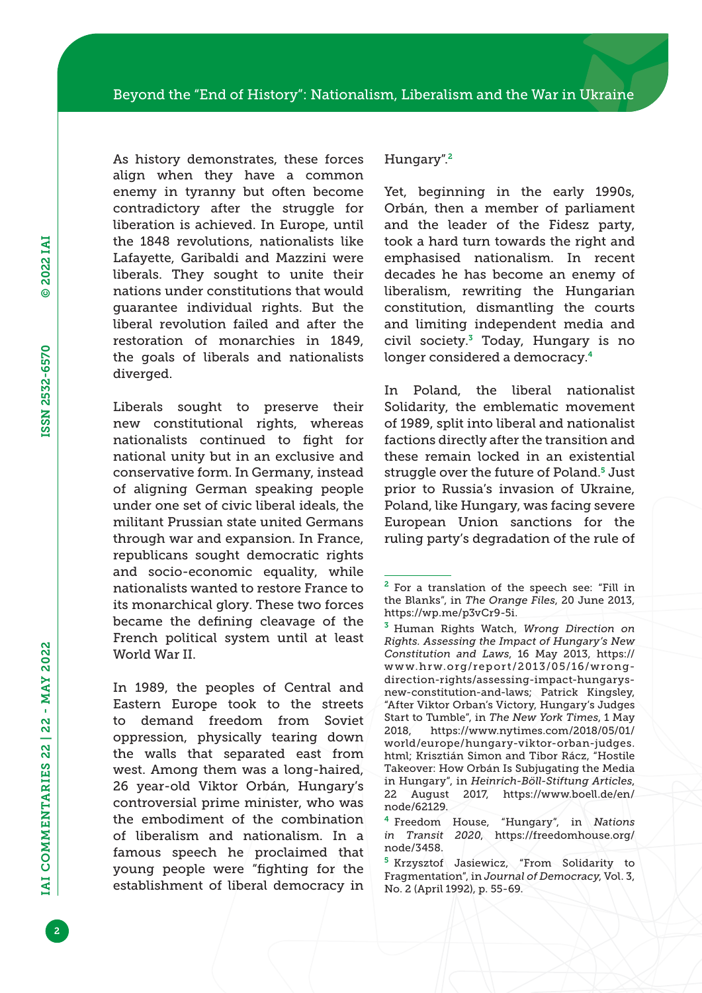As history demonstrates, these forces align when they have a common enemy in tyranny but often become contradictory after the struggle for liberation is achieved. In Europe, until the 1848 revolutions, nationalists like Lafayette, Garibaldi and Mazzini were liberals. They sought to unite their nations under constitutions that would guarantee individual rights. But the liberal revolution failed and after the restoration of monarchies in 1849, the goals of liberals and nationalists diverged.

Liberals sought to preserve their new constitutional rights, whereas nationalists continued to fight for national unity but in an exclusive and conservative form. In Germany, instead of aligning German speaking people under one set of civic liberal ideals, the militant Prussian state united Germans through war and expansion. In France, republicans sought democratic rights and socio-economic equality, while nationalists wanted to restore France to its monarchical glory. These two forces became the defining cleavage of the French political system until at least World War II.

In 1989, the peoples of Central and Eastern Europe took to the streets to demand freedom from Soviet oppression, physically tearing down the walls that separated east from west. Among them was a long-haired, 26 year-old Viktor Orbán, Hungary's controversial prime minister, who was the embodiment of the combination of liberalism and nationalism. In a famous speech he proclaimed that young people were "fighting for the establishment of liberal democracy in

#### Hungary".<sup>2</sup>

Yet, beginning in the early 1990s, Orbán, then a member of parliament and the leader of the Fidesz party, took a hard turn towards the right and emphasised nationalism. In recent decades he has become an enemy of liberalism, rewriting the Hungarian constitution, dismantling the courts and limiting independent media and civil society. $3$  Today, Hungary is no longer considered a democracy.<sup>4</sup>

In Poland, the liberal nationalist Solidarity, the emblematic movement of 1989, split into liberal and nationalist factions directly after the transition and these remain locked in an existential struggle over the future of Poland.5 Just prior to Russia's invasion of Ukraine, Poland, like Hungary, was facing severe European Union sanctions for the ruling party's degradation of the rule of

<sup>2</sup> For a translation of the speech see: "Fill in the Blanks", in *The Orange Files*, 20 June 2013, https://wp.me/p3vCr9-5i.

<sup>3</sup> Human Rights Watch, *Wrong Direction on Rights. Assessing the Impact of Hungary's New Constitution and Laws*, 16 May 2013, https:// www.hrw.org/report/2013/05/16/wrongdirection-rights/assessing-impact-hungarysnew-constitution-and-laws; Patrick Kingsley, "After Viktor Orban's Victory, Hungary's Judges Start to Tumble", in *The New York Times*, 1 May 2018, https://www.nytimes.com/2018/05/01/ world/europe/hungary-viktor-orban-judges. html; Krisztián Simon and Tibor Rácz, "Hostile Takeover: How Orbán Is Subjugating the Media in Hungary", in *Heinrich-Böll-Stiftung Articles*, 22 August 2017, https://www.boell.de/en/ node/62129.

<sup>4</sup> Freedom House, "Hungary", in *Nations in Transit 2020*, https://freedomhouse.org/ node/3458.

<sup>5</sup> Krzysztof Jasiewicz, "From Solidarity to Fragmentation", in *Journal of Democracy*, Vol. 3, No. 2 (April 1992), p. 55-69.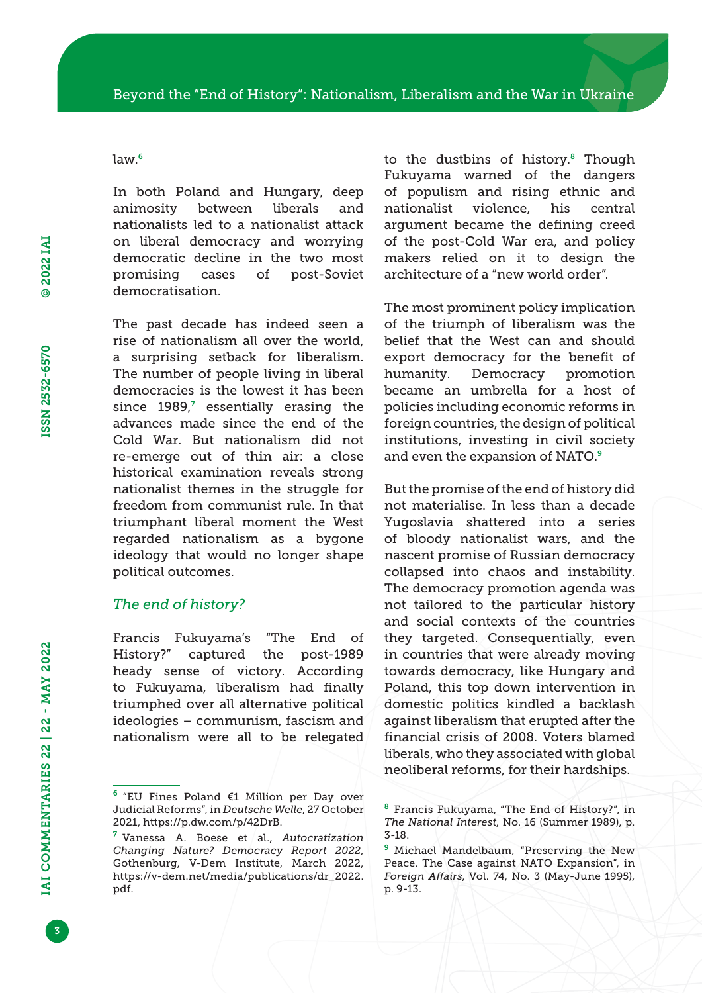### law.<sup>6</sup>

In both Poland and Hungary, deep animosity between liberals and nationalists led to a nationalist attack on liberal democracy and worrying democratic decline in the two most promising cases of post-Soviet democratisation.

The past decade has indeed seen a rise of nationalism all over the world, a surprising setback for liberalism. The number of people living in liberal democracies is the lowest it has been since 1989,<sup>7</sup> essentially erasing the advances made since the end of the Cold War. But nationalism did not re-emerge out of thin air: a close historical examination reveals strong nationalist themes in the struggle for freedom from communist rule. In that triumphant liberal moment the West regarded nationalism as a bygone ideology that would no longer shape political outcomes.

## *The end of history?*

Francis Fukuyama's "The End of History?" captured the post-1989 heady sense of victory. According to Fukuyama, liberalism had finally triumphed over all alternative political ideologies – communism, fascism and nationalism were all to be relegated to the dustbins of history. $8$  Though Fukuyama warned of the dangers of populism and rising ethnic and nationalist violence, his central argument became the defining creed of the post-Cold War era, and policy makers relied on it to design the architecture of a "new world order".

The most prominent policy implication of the triumph of liberalism was the belief that the West can and should export democracy for the benefit of humanity. Democracy promotion became an umbrella for a host of policies including economic reforms in foreign countries, the design of political institutions, investing in civil society and even the expansion of NATO.<sup>9</sup>

But the promise of the end of history did not materialise. In less than a decade Yugoslavia shattered into a series of bloody nationalist wars, and the nascent promise of Russian democracy collapsed into chaos and instability. The democracy promotion agenda was not tailored to the particular history and social contexts of the countries they targeted. Consequentially, even in countries that were already moving towards democracy, like Hungary and Poland, this top down intervention in domestic politics kindled a backlash against liberalism that erupted after the financial crisis of 2008. Voters blamed liberals, who they associated with global neoliberal reforms, for their hardships.

<sup>6</sup> "EU Fines Poland €1 Million per Day over Judicial Reforms", in *Deutsche Welle*, 27 October 2021, https://p.dw.com/p/42DrB.

<sup>7</sup> Vanessa A. Boese et al., *Autocratization Changing Nature? Democracy Report 2022*, Gothenburg, V-Dem Institute, March 2022, https://v-dem.net/media/publications/dr\_2022. pdf.

<sup>8</sup> Francis Fukuyama, "The End of History?", in *The National Interest*, No. 16 (Summer 1989), p. 3-18.

<sup>9</sup> Michael Mandelbaum, "Preserving the New Peace. The Case against NATO Expansion", in *Foreign Affairs*, Vol. 74, No. 3 (May-June 1995), p. 9-13.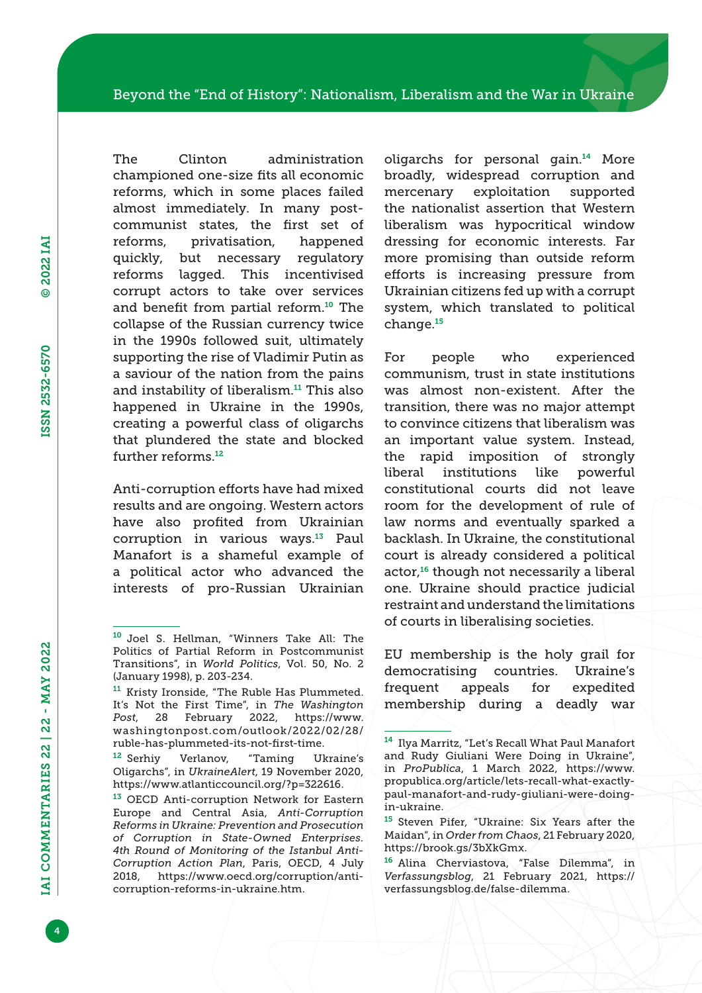The Clinton administration championed one-size fits all economic reforms, which in some places failed almost immediately. In many postcommunist states, the first set of reforms, privatisation, happened quickly, but necessary regulatory reforms lagged. This incentivised corrupt actors to take over services and benefit from partial reform.<sup>10</sup> The collapse of the Russian currency twice in the 1990s followed suit, ultimately supporting the rise of Vladimir Putin as a saviour of the nation from the pains and instability of liberalism.<sup>11</sup> This also happened in Ukraine in the 1990s, creating a powerful class of oligarchs that plundered the state and blocked further reforms.<sup>12</sup>

Anti-corruption efforts have had mixed results and are ongoing. Western actors have also profited from Ukrainian corruption in various ways.13 Paul Manafort is a shameful example of a political actor who advanced the interests of pro-Russian Ukrainian

oligarchs for personal gain.14 More broadly, widespread corruption and mercenary exploitation supported the nationalist assertion that Western liberalism was hypocritical window dressing for economic interests. Far more promising than outside reform efforts is increasing pressure from Ukrainian citizens fed up with a corrupt system, which translated to political change.<sup>15</sup>

For people who experienced communism, trust in state institutions was almost non-existent. After the transition, there was no major attempt to convince citizens that liberalism was an important value system. Instead, the rapid imposition of strongly liberal institutions like powerful constitutional courts did not leave room for the development of rule of law norms and eventually sparked a backlash. In Ukraine, the constitutional court is already considered a political actor,<sup>16</sup> though not necessarily a liberal one. Ukraine should practice judicial restraint and understand the limitations of courts in liberalising societies.

EU membership is the holy grail for democratising countries. Ukraine's frequent appeals for expedited membership during a deadly war

<sup>10</sup> Joel S. Hellman, "Winners Take All: The Politics of Partial Reform in Postcommunist Transitions", in *World Politics*, Vol. 50, No. 2 (January 1998), p. 203-234.

<sup>11</sup> Kristy Ironside, "The Ruble Has Plummeted. It's Not the First Time", in *The Washington Post*, 28 February 2022, https://www. washingtonpost.com/outlook/2022/02/28/ ruble-has-plummeted-its-not-first-time.

<sup>12</sup> Serhiy Verlanov, "Taming Ukraine's Oligarchs", in *UkraineAlert*, 19 November 2020, https://www.atlanticcouncil.org/?p=322616.

<sup>&</sup>lt;sup>13</sup> OECD Anti-corruption Network for Eastern Europe and Central Asia, *Anti-Corruption Reforms in Ukraine: Prevention and Prosecution of Corruption in State-Owned Enterprises. 4th Round of Monitoring of the Istanbul Anti-Corruption Action Plan*, Paris, OECD, 4 July 2018, https://www.oecd.org/corruption/anticorruption-reforms-in-ukraine.htm.

<sup>14</sup> Ilya Marritz, "Let's Recall What Paul Manafort and Rudy Giuliani Were Doing in Ukraine", in *ProPublica*, 1 March 2022, https://www. propublica.org/article/lets-recall-what-exactlypaul-manafort-and-rudy-giuliani-were-doingin-ukraine.

<sup>15</sup> Steven Pifer, "Ukraine: Six Years after the Maidan", in *Order from Chaos*, 21 February 2020, https://brook.gs/3bXkGmx.

<sup>16</sup> Alina Cherviastova, "False Dilemma", in *Verfassungsblog*, 21 February 2021, https:// verfassungsblog.de/false-dilemma.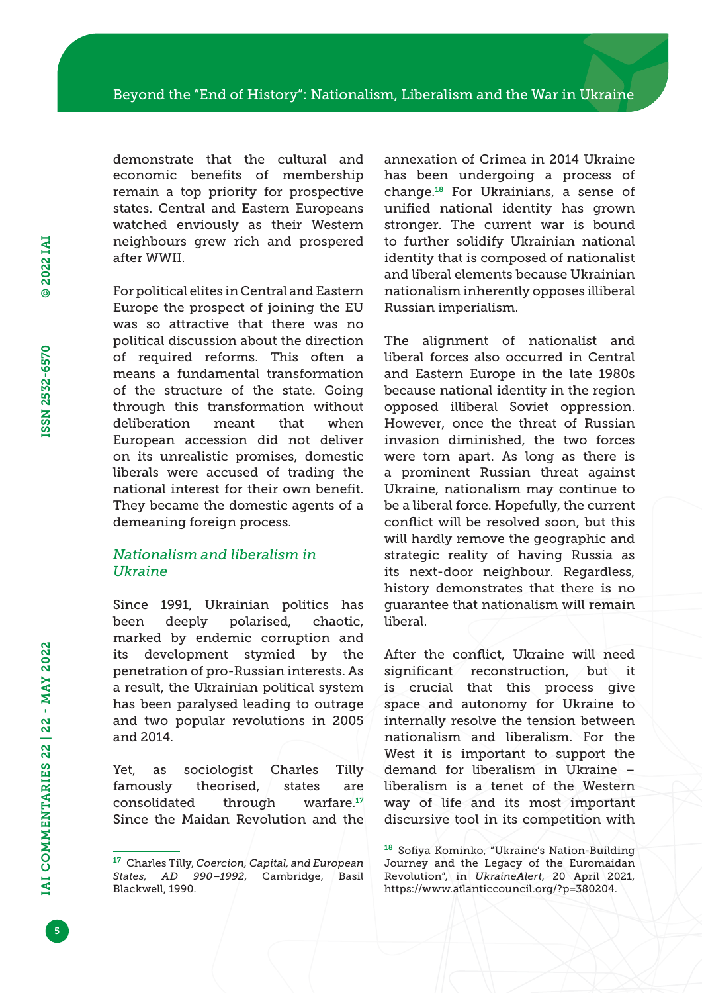demonstrate that the cultural and economic benefits of membership remain a top priority for prospective states. Central and Eastern Europeans watched enviously as their Western neighbours grew rich and prospered after WWII.

For political elites in Central and Eastern Europe the prospect of joining the EU was so attractive that there was no political discussion about the direction of required reforms. This often a means a fundamental transformation of the structure of the state. Going through this transformation without deliberation meant that when European accession did not deliver on its unrealistic promises, domestic liberals were accused of trading the national interest for their own benefit. They became the domestic agents of a demeaning foreign process.

## *Nationalism and liberalism in Ukraine*

Since 1991, Ukrainian politics has been deeply polarised, chaotic, marked by endemic corruption and its development stymied by the penetration of pro-Russian interests. As a result, the Ukrainian political system has been paralysed leading to outrage and two popular revolutions in 2005 and 2014.

Yet, as sociologist Charles Tilly famously theorised, states are consolidated through warfare.<sup>17</sup> Since the Maidan Revolution and the annexation of Crimea in 2014 Ukraine has been undergoing a process of change.18 For Ukrainians, a sense of unified national identity has grown stronger. The current war is bound to further solidify Ukrainian national identity that is composed of nationalist and liberal elements because Ukrainian nationalism inherently opposes illiberal Russian imperialism.

The alignment of nationalist and liberal forces also occurred in Central and Eastern Europe in the late 1980s because national identity in the region opposed illiberal Soviet oppression. However, once the threat of Russian invasion diminished, the two forces were torn apart. As long as there is a prominent Russian threat against Ukraine, nationalism may continue to be a liberal force. Hopefully, the current conflict will be resolved soon, but this will hardly remove the geographic and strategic reality of having Russia as its next-door neighbour. Regardless, history demonstrates that there is no guarantee that nationalism will remain liberal.

After the conflict, Ukraine will need significant reconstruction, but it is crucial that this process give space and autonomy for Ukraine to internally resolve the tension between nationalism and liberalism. For the West it is important to support the demand for liberalism in Ukraine – liberalism is a tenet of the Western way of life and its most important discursive tool in its competition with

<sup>17</sup> Charles Tilly, *Coercion, Capital, and European States, AD 990–1992*, Cambridge, Basil Blackwell, 1990.

<sup>18</sup> Sofiya Kominko, "Ukraine's Nation-Building Journey and the Legacy of the Euromaidan Revolution", in *UkraineAlert*, 20 April 2021, https://www.atlanticcouncil.org/?p=380204.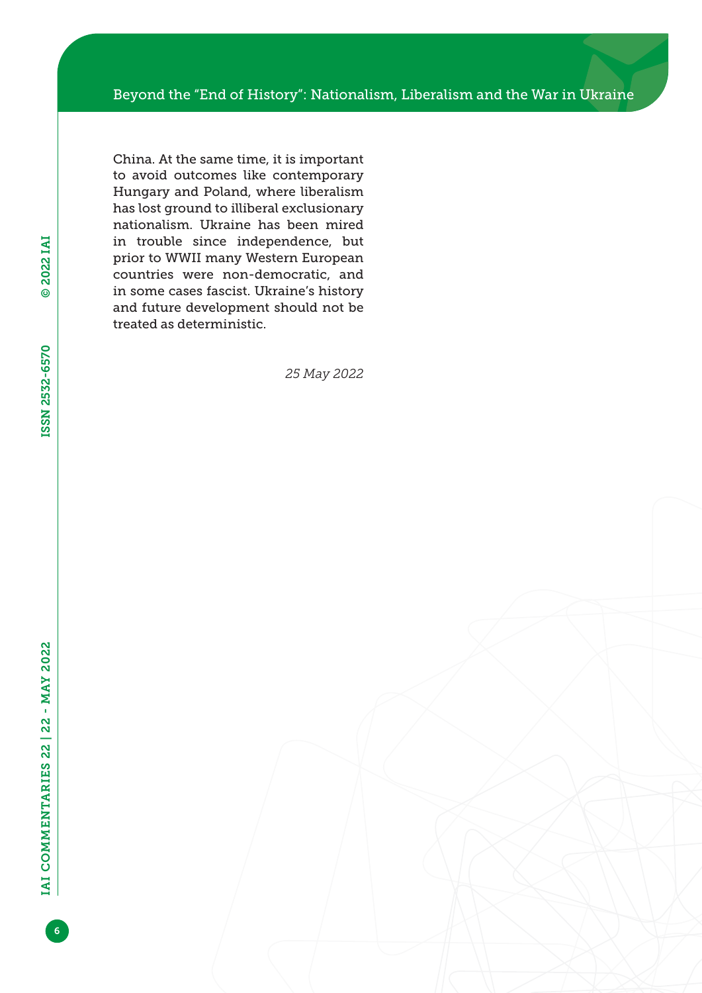China. At the same time, it is important to avoid outcomes like contemporary Hungary and Poland, where liberalism has lost ground to illiberal exclusionary nationalism. Ukraine has been mired in trouble since independence, but prior to WWII many Western European countries were non-democratic, and in some cases fascist. Ukraine's history and future development should not be treated as deterministic.

*25 May 2022*

© 2022 IAI

© 2022 IAI

ISSN 2532-6570

ISSN 2532-6570